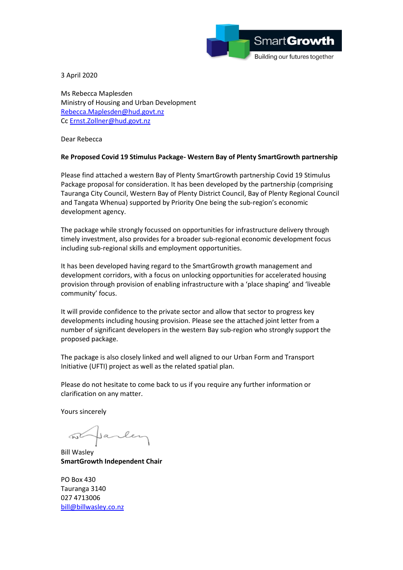

3 April 2020

Ms Rebecca Maplesden Ministry of Housing and Urban Development [Rebecca.Maplesden@hud.govt.nz](mailto:Rebecca.Maplesden@hud.govt.nz) Cc [Ernst.Zollner@hud.govt.nz](mailto:Ernst.Zollner@hud.govt.nz)

Dear Rebecca

## **Re Proposed Covid 19 Stimulus Package- Western Bay of Plenty SmartGrowth partnership**

Please find attached a western Bay of Plenty SmartGrowth partnership Covid 19 Stimulus Package proposal for consideration. It has been developed by the partnership (comprising Tauranga City Council, Western Bay of Plenty District Council, Bay of Plenty Regional Council and Tangata Whenua) supported by Priority One being the sub-region's economic development agency.

The package while strongly focussed on opportunities for infrastructure delivery through timely investment, also provides for a broader sub-regional economic development focus including sub-regional skills and employment opportunities.

It has been developed having regard to the SmartGrowth growth management and development corridors, with a focus on unlocking opportunities for accelerated housing provision through provision of enabling infrastructure with a 'place shaping' and 'liveable community' focus.

It will provide confidence to the private sector and allow that sector to progress key developments including housing provision. Please see the attached joint letter from a number of significant developers in the western Bay sub-region who strongly support the proposed package.

The package is also closely linked and well aligned to our Urban Form and Transport Initiative (UFTI) project as well as the related spatial plan.

Please do not hesitate to come back to us if you require any further information or clarification on any matter.

Yours sincerely

Jarler

Bill Wasley **SmartGrowth Independent Chair**

PO Box 430 Tauranga 3140 027 4713006 [bill@billwasley.co.nz](mailto:bill@billwasley.co.nz)